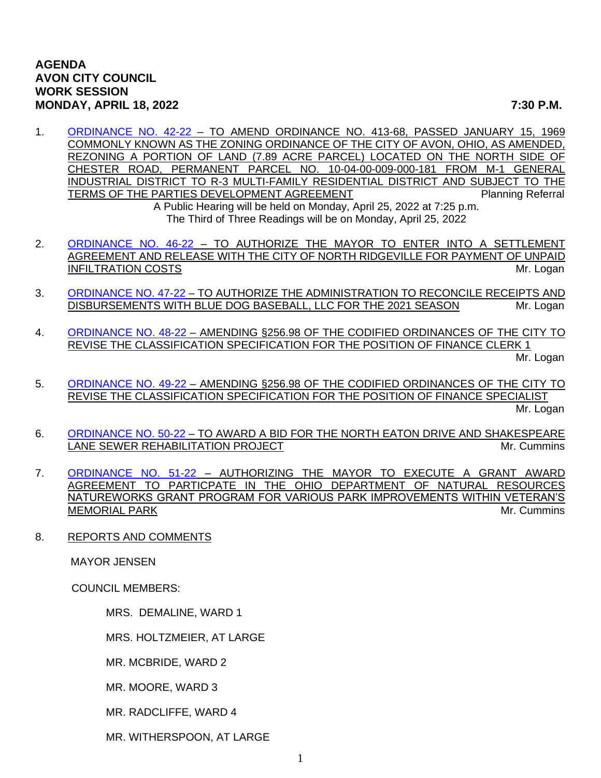1. [ORDINANCE NO. 42-22](https://www.cityofavon.com/DocumentCenter/View/7699/Ordinance-No-42-22---Rezoning---Concord-Village---Final) – TO AMEND ORDINANCE NO. 413-68, PASSED JANUARY 15, 1969 COMMONLY KNOWN AS THE ZONING ORDINANCE OF THE CITY OF AVON, OHIO, AS AMENDED, REZONING A PORTION OF LAND (7.89 ACRE PARCEL) LOCATED ON THE NORTH SIDE OF CHESTER ROAD, PERMANENT PARCEL NO. 10-04-00-009-000-181 FROM M-1 GENERAL INDUSTRIAL DISTRICT TO R-3 MULTI-FAMILY RESIDENTIAL DISTRICT AND SUBJECT TO THE TERMS OF THE PARTIES DEVELOPMENT AGREEMENT PLANNING Planning Referral

A Public Hearing will be held on Monday, April 25, 2022 at 7:25 p.m. The Third of Three Readings will be on Monday, April 25, 2022

- 2. [ORDINANCE NO. 46-22](https://www.cityofavon.com/DocumentCenter/View/7746/Ordinance-No-46-22-Settle-Agree---N-Ridgeville-Infiltration) TO AUTHORIZE THE MAYOR TO ENTER INTO A SETTLEMENT AGREEMENT AND RELEASE WITH THE CITY OF NORTH RIDGEVILLE FOR PAYMENT OF UNPAID INFILTRATION COSTS AND INTERNATIONAL SERVICES AND INTERNATIONAL SERVICES AND INTERNATIONAL SERVICES AND INTERNATIONAL SERVICES AND INTERNATIONAL SERVICES AND INTERNATIONAL SERVICES AND INTERNATIONAL SERVICES AND INTERNATIO
- 3. [ORDINANCE NO. 47-22](https://www.cityofavon.com/DocumentCenter/View/7747/Ordinance-No-47-22--Blue-Dog-Baseball) TO AUTHORIZE THE ADMINISTRATION TO RECONCILE RECEIPTS AND DISBURSEMENTS WITH BLUE DOG BASEBALL, LLC FOR THE 2021 SEASON Mr. Logan
- 4. [ORDINANCE NO. 48-22](https://www.cityofavon.com/DocumentCenter/View/7748/Ordinance-No-48-22-Amend-Class-Spec-Finance-Clerk-1) AMENDING §256.98 OF THE CODIFIED ORDINANCES OF THE CITY TO REVISE THE CLASSIFICATION SPECIFICATION FOR THE POSITION OF FINANCE CLERK 1 Mr. Logan
- 5. [ORDINANCE NO. 49-22](https://www.cityofavon.com/DocumentCenter/View/7749/Ordinance-No-49-22-Amend-Class-Spec-Finance-Specialist) AMENDING §256.98 OF THE CODIFIED ORDINANCES OF THE CITY TO REVISE THE CLASSIFICATION SPECIFICATION FOR THE POSITION OF FINANCE SPECIALIST

Mr. Logan

- 6. [ORDINANCE NO. 50-22](https://www.cityofavon.com/DocumentCenter/View/7750/Ordinance-No-50-22-Award-Bid-North-Eaton-Shakespeare-San-Sewer-Relining) TO AWARD A BID FOR THE NORTH EATON DRIVE AND SHAKESPEARE LANE SEWER REHABILITATION PROJECT NAMEL AND MONOGROUPS AND MY. Cummins
- 7. [ORDINANCE NO. 51-22](https://www.cityofavon.com/DocumentCenter/View/7751/Ordinance-No-51-22-Natureworks-Grant) AUTHORIZING THE MAYOR TO EXECUTE A GRANT AWARD AGREEMENT TO PARTICPATE IN THE OHIO DEPARTMENT OF NATURAL RESOURCES NATUREWORKS GRANT PROGRAM FOR VARIOUS PARK IMPROVEMENTS WITHIN VETERAN'S MEMORIAL PARK **Material Contract of the Community** of the Mr. Cummins of the Mr. Cummins
- 8. REPORTS AND COMMENTS

MAYOR JENSEN

COUNCIL MEMBERS:

MRS. DEMALINE, WARD 1

MRS. HOLTZMEIER, AT LARGE

MR. MCBRIDE, WARD 2

MR. MOORE, WARD 3

MR. RADCLIFFE, WARD 4

MR. WITHERSPOON, AT LARGE